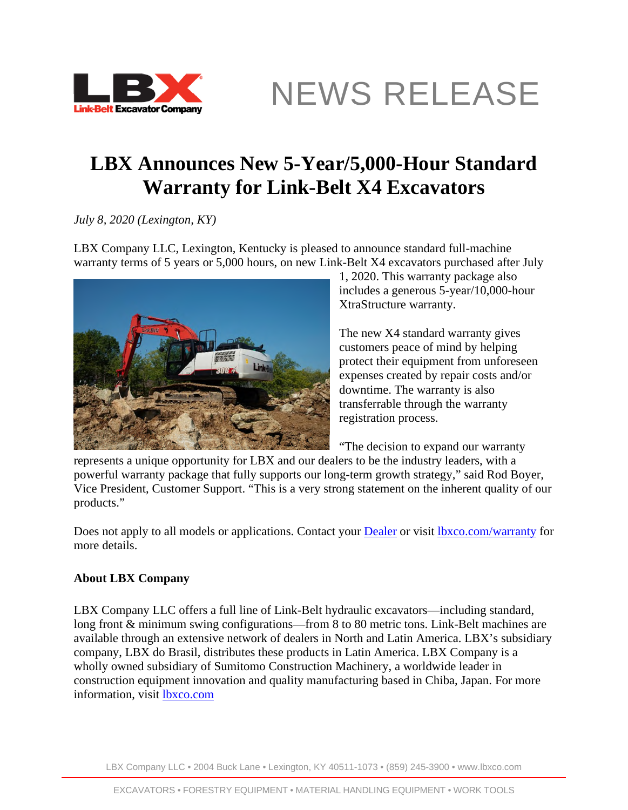

NEWS RELEASE

## **LBX Announces New 5-Year/5,000-Hour Standard Warranty for Link-Belt X4 Excavators**

*July 8, 2020 (Lexington, KY)* 

LBX Company LLC, Lexington, Kentucky is pleased to announce standard full-machine warranty terms of 5 years or 5,000 hours, on new Link-Belt X4 excavators purchased after July



1, 2020. This warranty package also includes a generous 5-year/10,000-hour XtraStructure warranty.

The new X4 standard warranty gives customers peace of mind by helping protect their equipment from unforeseen expenses created by repair costs and/or downtime. The warranty is also transferrable through the warranty registration process.

"The decision to expand our warranty

represents a unique opportunity for LBX and our dealers to be the industry leaders, with a powerful warranty package that fully supports our long-term growth strategy," said Rod Boyer, Vice President, Customer Support. "This is a very strong statement on the inherent quality of our products."

Does not apply to all models or applications. Contact your **Dealer** or visit **lbxco.com/warranty** for more details.

## **About LBX Company**

LBX Company LLC offers a full line of Link-Belt hydraulic excavators—including standard, long front & minimum swing configurations—from 8 to 80 metric tons. Link-Belt machines are available through an extensive network of dealers in North and Latin America. LBX's subsidiary company, LBX do Brasil, distributes these products in Latin America. LBX Company is a wholly owned subsidiary of Sumitomo Construction Machinery, a worldwide leader in construction equipment innovation and quality manufacturing based in Chiba, Japan. For more information, visit [lbxco.com](http://lbxco.com/)

LBX Company LLC • 2004 Buck Lane • Lexington, KY 40511-1073 • (859) 245-3900 • www.lbxco.com